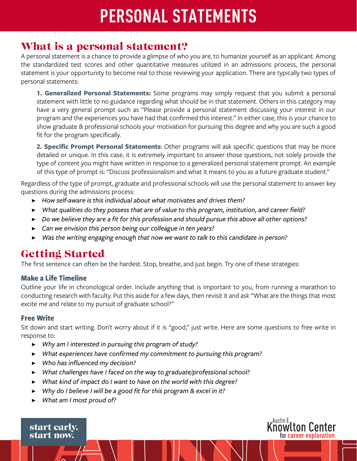# **PERSONAL STATEMENTS**

## What is a personal statement?

A personal statement is a chance to provide a glimpse of who you are, to humanize yourself as an applicant. Among the standardized test scores and other quantitative measures utilized in an admissions process, the personal statement is your opportunity to become real to those reviewing your application. There are typically two types of personal statements:

**1. Generalized Personal Statements:** Some programs may simply request that you submit a personal statement with little to no guidance regarding what should be in that statement. Others in this category may have a very general prompt such as "Please provide a personal statement discussing your interest in our program and the experiences you have had that confirmed this interest." In either case, this is your chance to show graduate & professional schools your motivation for pursuing this degree and why you are such a good fit for the program specifically.

**2. Specific Prompt Personal Statements**: Other programs will ask specific questions that may be more detailed or unique. In this case, it is extremely important to answer those questions, not solely provide the type of content you might have written in response to a generalized personal statement prompt. An example of this type of prompt is: "Discuss professionalism and what it means to you as a future graduate student."

Regardless of the type of prompt, graduate and professional schools will use the personal statement to answer key questions during the admissions process:

- ▶ *How self-aware is this individual about what motivates and drives them?*
- ▶ *What qualities do they possess that are of value to this program, institution, and career field?*
- ▶ *Do we believe they are a fit for this profession and should pursue this above all other options?*
- ▶ *Can we envision this person being our colleague in ten years?*
- ▶ *Was the writing engaging enough that now we want to talk to this candidate in person?*

## Getting Started

The first sentence can often be the hardest. Stop, breathe, and just begin. Try one of these strategies:

#### **Make a Life Timeline**

Outline your life in chronological order. Include anything that is important to you, from running a marathon to conducting research with faculty. Put this aside for a few days, then revisit it and ask "What are the things that most excite me and relate to my pursuit of graduate school?"

#### **Free Write**

Sit down and start writing. Don't worry about if it is "good," just write. Here are some questions to free write in response to:

**K<sup>Austin E</sup>, Let Center** 

for career exploration

- ▶ *Why am I interested in pursuing this program of study?*
- ▶ *What experiences have confirmed my commitment to pursuing this program?*
- ▶ *Who has influenced my decision?*
- ▶ *What challenges have I faced on the way to graduate/professional school?*
- ▶ *What kind of impact do I want to have on the world with this degree?*
- ▶ *Why do I believe I will be a good fit for this program & excel in it?*
- ▶ *What am I most proud of?*

start early. start now.